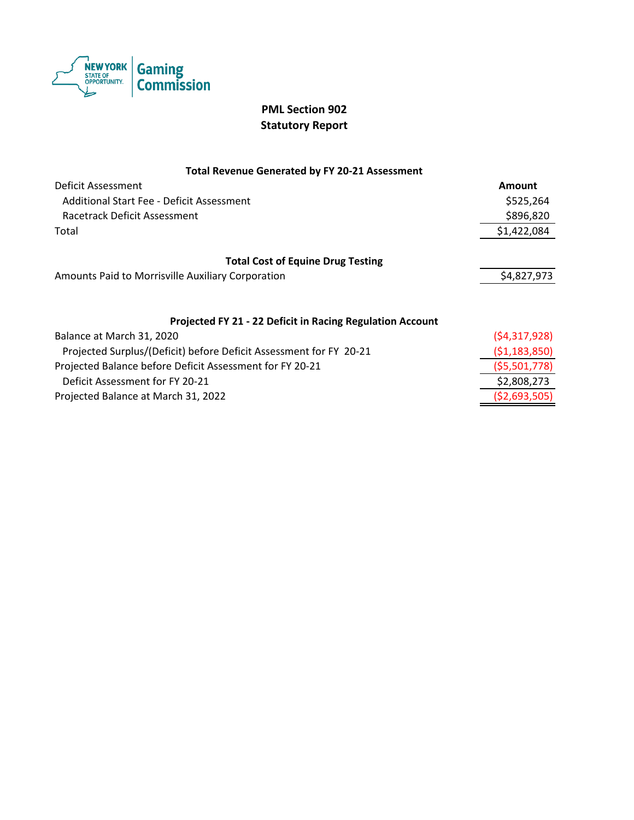

## **PML Section 902 Statutory Report**

### **Total Revenue Generated by FY 20-21 Assessment**

| Deficit Assessment                                                 | Amount         |
|--------------------------------------------------------------------|----------------|
| Additional Start Fee - Deficit Assessment                          | \$525,264      |
| Racetrack Deficit Assessment                                       | \$896,820      |
| Total                                                              | \$1,422,084    |
| <b>Total Cost of Equine Drug Testing</b>                           |                |
| Amounts Paid to Morrisville Auxiliary Corporation                  | \$4,827,973    |
| Projected FY 21 - 22 Deficit in Racing Regulation Account          |                |
| Balance at March 31, 2020                                          | (54, 317, 928) |
| Projected Surplus/(Deficit) before Deficit Assessment for FY 20-21 | ( \$1,183,850) |
| Projected Balance before Deficit Assessment for FY 20-21           | (\$5,501,778)  |
| Deficit Assessment for FY 20-21                                    | \$2,808,273    |

Projected Balance at March 31, 2022 (\$2,693,505)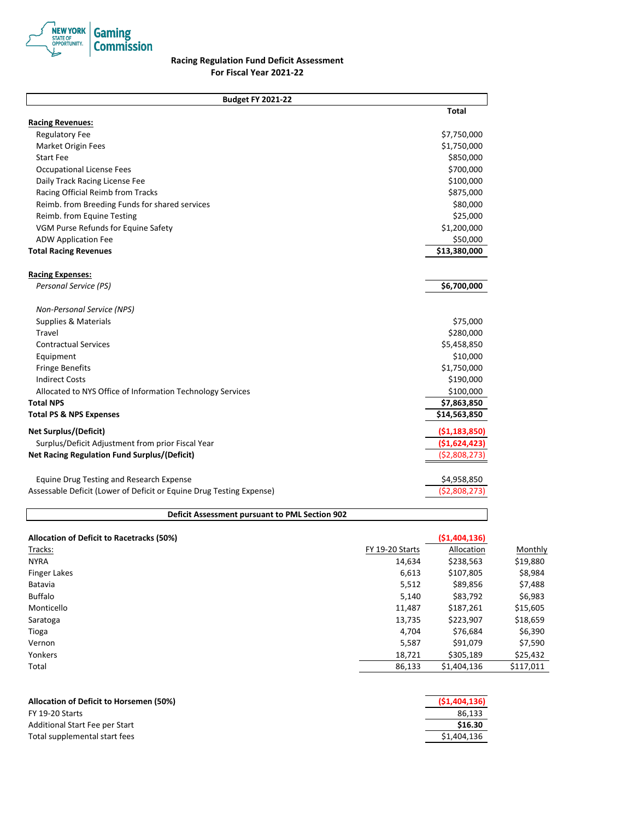

### **Racing Regulation Fund Deficit Assessment For Fiscal Year 2021-22**

**Total Racing Revenues:** Regulatory Fee \$7,750,000 \$1,750,000 \$1,750,000 \$1,750,000 \$1,750,000 \$1,750,000 \$1,750,000 \$1,750,000 \$1,750,000 \$1,750,000 \$1,750,000 \$1,750,000 \$1,750,000 \$1,750,000 \$1,750,000 \$1,750,000 \$1,750,000 \$1,750,000 \$1,750,00 Market Origin Fees  $$1,750,000$ Start Fee \$850,000 Occupational License Fees \$700,000 Daily Track Racing License Fee \$100,000 Racing Official Reimb from Tracks **\$875,000** and the state of the state of the state of the state of the state of the state of the state of the state of the state of the state of the state of the state of the state of the Reimb. from Breeding Funds for shared services  $$80,000$ Reimb. from Equine Testing  $$25,000$ VGM Purse Refunds for Equine Safety **\$1,200,000** S1,200,000 ADW Application Fee  $$50,000$ **Total Racing Revenues \$13,380,000 Racing Expenses:** *Personal Service (PS)* **\$6,700,000** *Non-Personal Service (NPS)*  Supplies & Materials **\$75,000 Supplies & Materials**  $\ddot{\textbf{S}}$ Travel \$280,000 Contractual Services \$5,458,850 Equipment \$10,000 Fringe Benefits \$1,750,000 Indirect Costs \$190,000 Allocated to NYS Office of Information Technology Services **\$100,000** \$100,000 **Total NPS \$7,863,850 Total PS & NPS Expenses \$14,563,850 Net Surplus/(Deficit) (\$1,183,850)** Surplus/Deficit Adjustment from prior Fiscal Year **(\$1,624,423) Net Racing Regulation Fund Surplus/(Deficit) (\$2,808,273)** (\$2,808,273) Equine Drug Testing and Research Expense \$4,958,850 Assessable Deficit (Lower of Deficit or Equine Drug Testing Expense) (\$2,808,273) **Budget FY 2021-22**

#### **Deficit Assessment pursuant to PML Section 902**

| Allocation of Deficit to Racetracks (50%) |                 | (51, 404, 136) |           |
|-------------------------------------------|-----------------|----------------|-----------|
| Tracks:                                   | FY 19-20 Starts | Allocation     | Monthly   |
| <b>NYRA</b>                               | 14,634          | \$238,563      | \$19,880  |
| <b>Finger Lakes</b>                       | 6,613           | \$107,805      | \$8,984   |
| Batavia                                   | 5,512           | \$89,856       | \$7,488   |
| <b>Buffalo</b>                            | 5,140           | \$83,792       | \$6,983   |
| Monticello                                | 11.487          | \$187,261      | \$15,605  |
| Saratoga                                  | 13,735          | \$223,907      | \$18,659  |
| Tioga                                     | 4,704           | \$76,684       | \$6,390   |
| Vernon                                    | 5,587           | \$91,079       | \$7,590   |
| Yonkers                                   | 18,721          | \$305,189      | \$25,432  |
| Total                                     | 86,133          | \$1,404,136    | \$117,011 |
|                                           |                 |                |           |

| Allocation of Deficit to Horsemen (50%) | (51, 404, 136) |
|-----------------------------------------|----------------|
| FY 19-20 Starts                         | 86.133         |
| Additional Start Fee per Start          | \$16.30        |
| Total supplemental start fees           | \$1,404,136    |